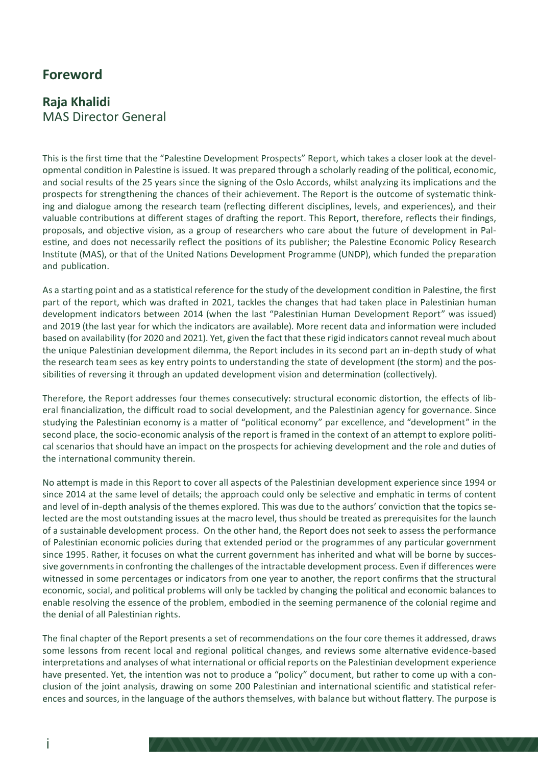# **Foreword**

# **Raja Khalidi** MAS Director General

This is the first time that the "Palestine Development Prospects" Report, which takes a closer look at the developmental condition in Palestine is issued. It was prepared through a scholarly reading of the political, economic, and social results of the 25 years since the signing of the Oslo Accords, whilst analyzing its implications and the prospects for strengthening the chances of their achievement. The Report is the outcome of systematic thinking and dialogue among the research team (reflecting different disciplines, levels, and experiences), and their valuable contributions at different stages of drafting the report. This Report, therefore, reflects their findings, proposals, and objective vision, as a group of researchers who care about the future of development in Palestine, and does not necessarily reflect the positions of its publisher; the Palestine Economic Policy Research Institute (MAS), or that of the United Nations Development Programme (UNDP), which funded the preparation and publication.

As a starting point and as a statistical reference for the study of the development condition in Palestine, the first part of the report, which was drafted in 2021, tackles the changes that had taken place in Palestinian human development indicators between 2014 (when the last "Palestinian Human Development Report" was issued) and 2019 (the last year for which the indicators are available). More recent data and information were included based on availability (for 2020 and 2021). Yet, given the fact that these rigid indicators cannot reveal much about the unique Palestinian development dilemma, the Report includes in its second part an in-depth study of what the research team sees as key entry points to understanding the state of development (the storm) and the possibilities of reversing it through an updated development vision and determination (collectively).

Therefore, the Report addresses four themes consecutively: structural economic distortion, the effects of liberal financialization, the difficult road to social development, and the Palestinian agency for governance. Since studying the Palestinian economy is a matter of "political economy" par excellence, and "development" in the second place, the socio-economic analysis of the report is framed in the context of an attempt to explore political scenarios that should have an impact on the prospects for achieving development and the role and duties of the international community therein.

No attempt is made in this Report to cover all aspects of the Palestinian development experience since 1994 or since 2014 at the same level of details; the approach could only be selective and emphatic in terms of content and level of in-depth analysis of the themes explored. This was due to the authors' conviction that the topics selected are the most outstanding issues at the macro level, thus should be treated as prerequisites for the launch of a sustainable development process. On the other hand, the Report does not seek to assess the performance of Palestinian economic policies during that extended period or the programmes of any particular government since 1995. Rather, it focuses on what the current government has inherited and what will be borne by successive governments in confronting the challenges of the intractable development process. Even if differences were witnessed in some percentages or indicators from one year to another, the report confirms that the structural economic, social, and political problems will only be tackled by changing the political and economic balances to enable resolving the essence of the problem, embodied in the seeming permanence of the colonial regime and the denial of all Palestinian rights.

The final chapter of the Report presents a set of recommendations on the four core themes it addressed, draws some lessons from recent local and regional political changes, and reviews some alternative evidence-based interpretations and analyses of what international or official reports on the Palestinian development experience have presented. Yet, the intention was not to produce a "policy" document, but rather to come up with a conclusion of the joint analysis, drawing on some 200 Palestinian and international scientific and statistical references and sources, in the language of the authors themselves, with balance but without flattery. The purpose is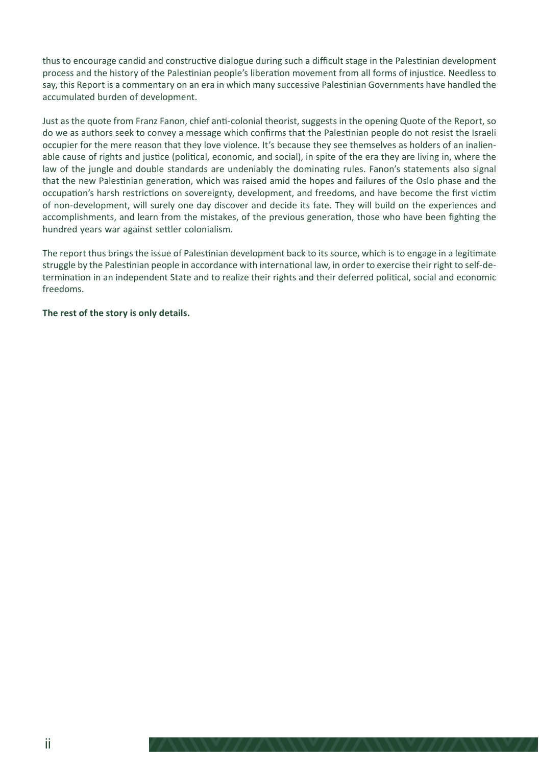thus to encourage candid and constructive dialogue during such a difficult stage in the Palestinian development process and the history of the Palestinian people's liberation movement from all forms of injustice. Needless to say, this Report is a commentary on an era in which many successive Palestinian Governments have handled the accumulated burden of development.

Just as the quote from Franz Fanon, chief anti-colonial theorist, suggests in the opening Quote of the Report, so do we as authors seek to convey a message which confirms that the Palestinian people do not resist the Israeli occupier for the mere reason that they love violence. It's because they see themselves as holders of an inalienable cause of rights and justice (political, economic, and social), in spite of the era they are living in, where the law of the jungle and double standards are undeniably the dominating rules. Fanon's statements also signal that the new Palestinian generation, which was raised amid the hopes and failures of the Oslo phase and the occupation's harsh restrictions on sovereignty, development, and freedoms, and have become the first victim of non-development, will surely one day discover and decide its fate. They will build on the experiences and accomplishments, and learn from the mistakes, of the previous generation, those who have been fighting the hundred years war against settler colonialism.

The report thus brings the issue of Palestinian development back to its source, which is to engage in a legitimate struggle by the Palestinian people in accordance with international law, in order to exercise their right to self-determination in an independent State and to realize their rights and their deferred political, social and economic freedoms.

#### **The rest of the story is only details.**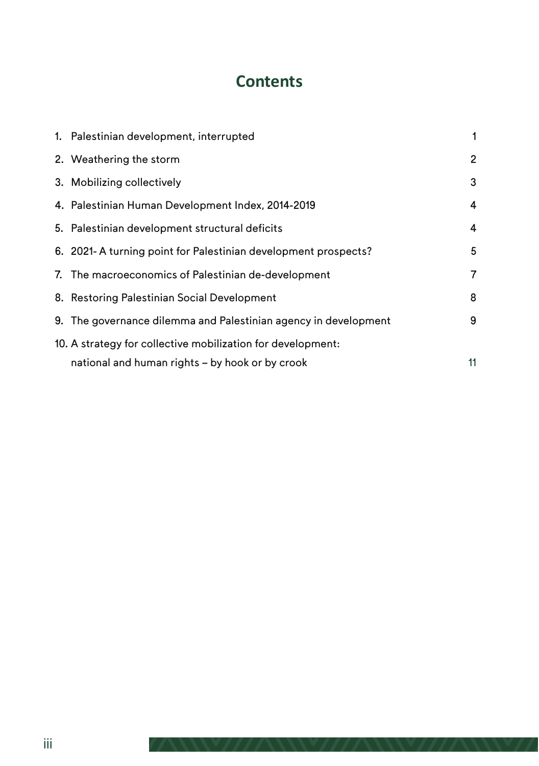# **Contents**

|                                                             | 1. Palestinian development, interrupted                         | 1              |
|-------------------------------------------------------------|-----------------------------------------------------------------|----------------|
|                                                             | 2. Weathering the storm                                         | $\overline{2}$ |
|                                                             | 3. Mobilizing collectively                                      | 3              |
|                                                             | 4. Palestinian Human Development Index, 2014-2019               | 4              |
|                                                             | 5. Palestinian development structural deficits                  | 4              |
|                                                             | 6. 2021-A turning point for Palestinian development prospects?  | 5              |
|                                                             | 7. The macroeconomics of Palestinian de-development             | 7              |
|                                                             | 8. Restoring Palestinian Social Development                     | 8              |
|                                                             | 9. The governance dilemma and Palestinian agency in development | 9              |
| 10. A strategy for collective mobilization for development: |                                                                 |                |
|                                                             | national and human rights – by hook or by crook                 | 11             |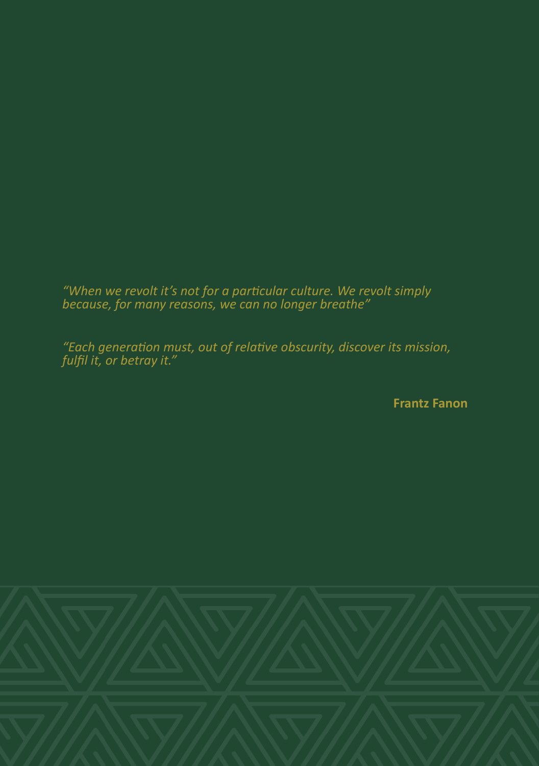*"When we revolt it's not for a particular culture. We revolt simply because, for many reasons, we can no longer breathe"*

*"Each generation must, out of relative obscurity, discover its mission, fulfil it, or betray it."*

 **Frantz Fanon**

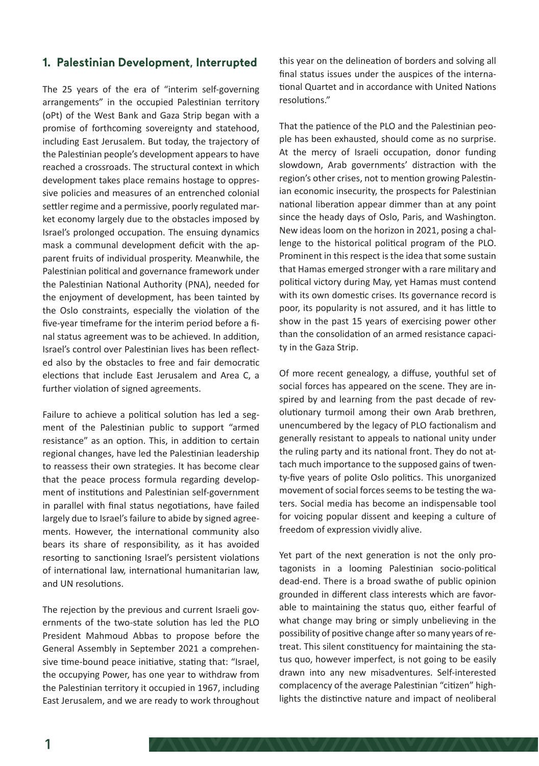#### **1. Palestinian Development, Interrupted**

The 25 years of the era of "interim self-governing arrangements" in the occupied Palestinian territory (oPt) of the West Bank and Gaza Strip began with a promise of forthcoming sovereignty and statehood, including East Jerusalem. But today, the trajectory of the Palestinian people's development appears to have reached a crossroads. The structural context in which development takes place remains hostage to oppressive policies and measures of an entrenched colonial settler regime and a permissive, poorly regulated market economy largely due to the obstacles imposed by Israel's prolonged occupation. The ensuing dynamics mask a communal development deficit with the apparent fruits of individual prosperity. Meanwhile, the Palestinian political and governance framework under the Palestinian National Authority (PNA), needed for the enjoyment of development, has been tainted by the Oslo constraints, especially the violation of the five-year timeframe for the interim period before a final status agreement was to be achieved. In addition, Israel's control over Palestinian lives has been reflected also by the obstacles to free and fair democratic elections that include East Jerusalem and Area C, a further violation of signed agreements.

Failure to achieve a political solution has led a segment of the Palestinian public to support "armed resistance" as an option. This, in addition to certain regional changes, have led the Palestinian leadership to reassess their own strategies. It has become clear that the peace process formula regarding development of institutions and Palestinian self-government in parallel with final status negotiations, have failed largely due to Israel's failure to abide by signed agreements. However, the international community also bears its share of responsibility, as it has avoided resorting to sanctioning Israel's persistent violations of international law, international humanitarian law, and UN resolutions.

The rejection by the previous and current Israeli governments of the two-state solution has led the PLO President Mahmoud Abbas to propose before the General Assembly in September 2021 a comprehensive time-bound peace initiative, stating that: "Israel, the occupying Power, has one year to withdraw from the Palestinian territory it occupied in 1967, including East Jerusalem, and we are ready to work throughout

this year on the delineation of borders and solving all final status issues under the auspices of the international Quartet and in accordance with United Nations resolutions."

That the patience of the PLO and the Palestinian people has been exhausted, should come as no surprise. At the mercy of Israeli occupation, donor funding slowdown, Arab governments' distraction with the region's other crises, not to mention growing Palestinian economic insecurity, the prospects for Palestinian national liberation appear dimmer than at any point since the heady days of Oslo, Paris, and Washington. New ideas loom on the horizon in 2021, posing a challenge to the historical political program of the PLO. Prominent in this respect is the idea that some sustain that Hamas emerged stronger with a rare military and political victory during May, yet Hamas must contend with its own domestic crises. Its governance record is poor, its popularity is not assured, and it has little to show in the past 15 years of exercising power other than the consolidation of an armed resistance capacity in the Gaza Strip.

Of more recent genealogy, a diffuse, youthful set of social forces has appeared on the scene. They are inspired by and learning from the past decade of revolutionary turmoil among their own Arab brethren, unencumbered by the legacy of PLO factionalism and generally resistant to appeals to national unity under the ruling party and its national front. They do not attach much importance to the supposed gains of twenty-five years of polite Oslo politics. This unorganized movement of social forces seems to be testing the waters. Social media has become an indispensable tool for voicing popular dissent and keeping a culture of freedom of expression vividly alive.

Yet part of the next generation is not the only protagonists in a looming Palestinian socio-political dead-end. There is a broad swathe of public opinion grounded in different class interests which are favorable to maintaining the status quo, either fearful of what change may bring or simply unbelieving in the possibility of positive change after so many years of retreat. This silent constituency for maintaining the status quo, however imperfect, is not going to be easily drawn into any new misadventures. Self-interested complacency of the average Palestinian "citizen" highlights the distinctive nature and impact of neoliberal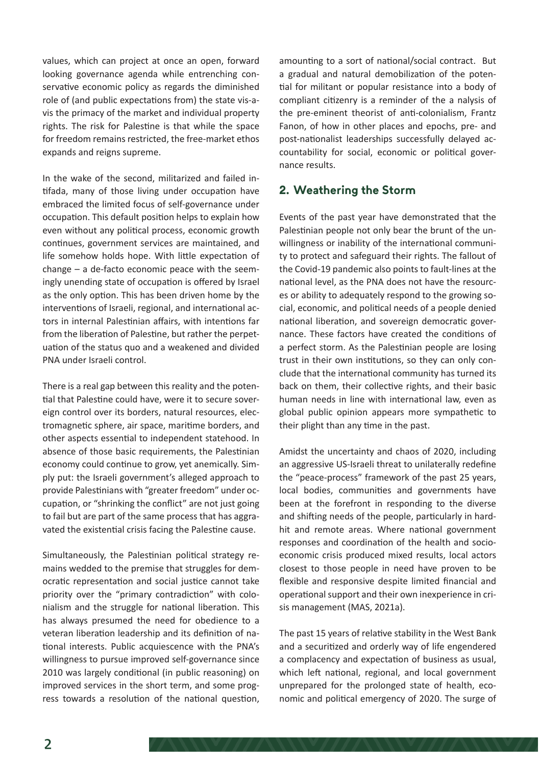values, which can project at once an open, forward looking governance agenda while entrenching conservative economic policy as regards the diminished role of (and public expectations from) the state vis-avis the primacy of the market and individual property rights. The risk for Palestine is that while the space for freedom remains restricted, the free-market ethos expands and reigns supreme.

In the wake of the second, militarized and failed intifada, many of those living under occupation have embraced the limited focus of self-governance under occupation. This default position helps to explain how even without any political process, economic growth continues, government services are maintained, and life somehow holds hope. With little expectation of change – a de-facto economic peace with the seemingly unending state of occupation is offered by Israel as the only option. This has been driven home by the interventions of Israeli, regional, and international actors in internal Palestinian affairs, with intentions far from the liberation of Palestine, but rather the perpetuation of the status quo and a weakened and divided PNA under Israeli control.

There is a real gap between this reality and the potential that Palestine could have, were it to secure sovereign control over its borders, natural resources, electromagnetic sphere, air space, maritime borders, and other aspects essential to independent statehood. In absence of those basic requirements, the Palestinian economy could continue to grow, yet anemically. Simply put: the Israeli government's alleged approach to provide Palestinians with "greater freedom" under occupation, or "shrinking the conflict" are not just going to fail but are part of the same process that has aggravated the existential crisis facing the Palestine cause.

Simultaneously, the Palestinian political strategy remains wedded to the premise that struggles for democratic representation and social justice cannot take priority over the "primary contradiction" with colonialism and the struggle for national liberation. This has always presumed the need for obedience to a veteran liberation leadership and its definition of national interests. Public acquiescence with the PNA's willingness to pursue improved self-governance since 2010 was largely conditional (in public reasoning) on improved services in the short term, and some progress towards a resolution of the national question,

amounting to a sort of national/social contract. But a gradual and natural demobilization of the potential for militant or popular resistance into a body of compliant citizenry is a reminder of the a nalysis of the pre-eminent theorist of anti-colonialism, Frantz Fanon, of how in other places and epochs, pre- and post-nationalist leaderships successfully delayed accountability for social, economic or political governance results.

#### **2. Weathering the Storm**

Events of the past year have demonstrated that the Palestinian people not only bear the brunt of the unwillingness or inability of the international community to protect and safeguard their rights. The fallout of the Covid-19 pandemic also points to fault-lines at the national level, as the PNA does not have the resources or ability to adequately respond to the growing social, economic, and political needs of a people denied national liberation, and sovereign democratic governance. These factors have created the conditions of a perfect storm. As the Palestinian people are losing trust in their own institutions, so they can only conclude that the international community has turned its back on them, their collective rights, and their basic human needs in line with international law, even as global public opinion appears more sympathetic to their plight than any time in the past.

Amidst the uncertainty and chaos of 2020, including an aggressive US-Israeli threat to unilaterally redefine the "peace-process" framework of the past 25 years, local bodies, communities and governments have been at the forefront in responding to the diverse and shifting needs of the people, particularly in hardhit and remote areas. Where national government responses and coordination of the health and socioeconomic crisis produced mixed results, local actors closest to those people in need have proven to be flexible and responsive despite limited financial and operational support and their own inexperience in crisis management (MAS, 2021a).

The past 15 years of relative stability in the West Bank and a securitized and orderly way of life engendered a complacency and expectation of business as usual, which left national, regional, and local government unprepared for the prolonged state of health, economic and political emergency of 2020. The surge of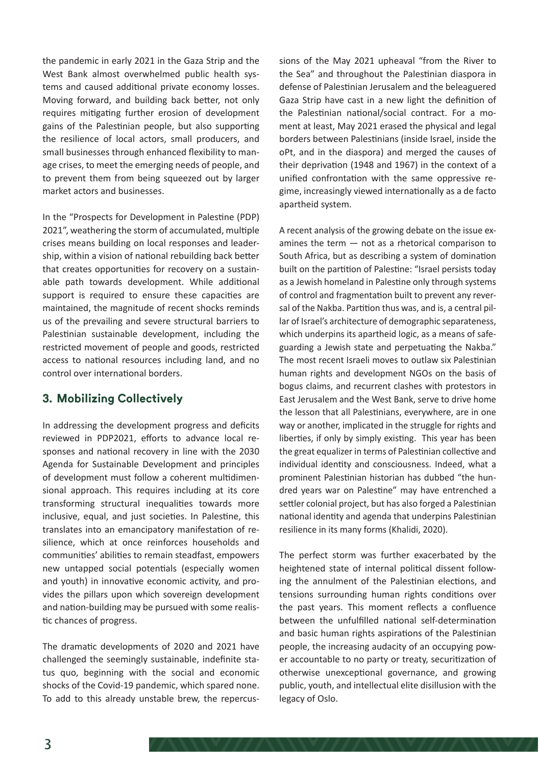the pandemic in early 2021 in the Gaza Strip and the West Bank almost overwhelmed public health systems and caused additional private economy losses. Moving forward, and building back better, not only requires mitigating further erosion of development gains of the Palestinian people, but also supporting the resilience of local actors, small producers, and small businesses through enhanced flexibility to manage crises, to meet the emerging needs of people, and to prevent them from being squeezed out by larger market actors and businesses.

In the "Prospects for Development in Palestine (PDP) 2021", weathering the storm of accumulated, multiple crises means building on local responses and leadership, within a vision of national rebuilding back better that creates opportunities for recovery on a sustainable path towards development. While additional support is required to ensure these capacities are maintained, the magnitude of recent shocks reminds us of the prevailing and severe structural barriers to Palestinian sustainable development, including the restricted movement of people and goods, restricted access to national resources including land, and no control over international borders.

#### **3. Mobilizing Collectively**

In addressing the development progress and deficits reviewed in PDP2021, efforts to advance local responses and national recovery in line with the 2030 Agenda for Sustainable Development and principles of development must follow a coherent multidimensional approach. This requires including at its core transforming structural inequalities towards more inclusive, equal, and just societies. In Palestine, this translates into an emancipatory manifestation of resilience, which at once reinforces households and communities' abilities to remain steadfast, empowers new untapped social potentials (especially women and youth) in innovative economic activity, and provides the pillars upon which sovereign development and nation-building may be pursued with some realistic chances of progress.

The dramatic developments of 2020 and 2021 have challenged the seemingly sustainable, indefinite status quo, beginning with the social and economic shocks of the Covid-19 pandemic, which spared none. To add to this already unstable brew, the repercussions of the May 2021 upheaval "from the River to the Sea" and throughout the Palestinian diaspora in defense of Palestinian Jerusalem and the beleaguered Gaza Strip have cast in a new light the definition of the Palestinian national/social contract. For a moment at least, May 2021 erased the physical and legal borders between Palestinians (inside Israel, inside the oPt, and in the diaspora) and merged the causes of their deprivation (1948 and 1967) in the context of a unified confrontation with the same oppressive regime, increasingly viewed internationally as a de facto apartheid system.

A recent analysis of the growing debate on the issue examines the term — not as a rhetorical comparison to South Africa, but as describing a system of domination built on the partition of Palestine: "Israel persists today as a Jewish homeland in Palestine only through systems of control and fragmentation built to prevent any reversal of the Nakba. Partition thus was, and is, a central pillar of Israel's architecture of demographic separateness, which underpins its apartheid logic, as a means of safeguarding a Jewish state and perpetuating the Nakba." The most recent Israeli moves to outlaw six Palestinian human rights and development NGOs on the basis of bogus claims, and recurrent clashes with protestors in East Jerusalem and the West Bank, serve to drive home the lesson that all Palestinians, everywhere, are in one way or another, implicated in the struggle for rights and liberties, if only by simply existing. This year has been the great equalizer in terms of Palestinian collective and individual identity and consciousness. Indeed, what a prominent Palestinian historian has dubbed "the hundred years war on Palestine" may have entrenched a settler colonial project, but has also forged a Palestinian national identity and agenda that underpins Palestinian resilience in its many forms (Khalidi, 2020).

The perfect storm was further exacerbated by the heightened state of internal political dissent following the annulment of the Palestinian elections, and tensions surrounding human rights conditions over the past years. This moment reflects a confluence between the unfulfilled national self-determination and basic human rights aspirations of the Palestinian people, the increasing audacity of an occupying power accountable to no party or treaty, securitization of otherwise unexceptional governance, and growing public, youth, and intellectual elite disillusion with the legacy of Oslo.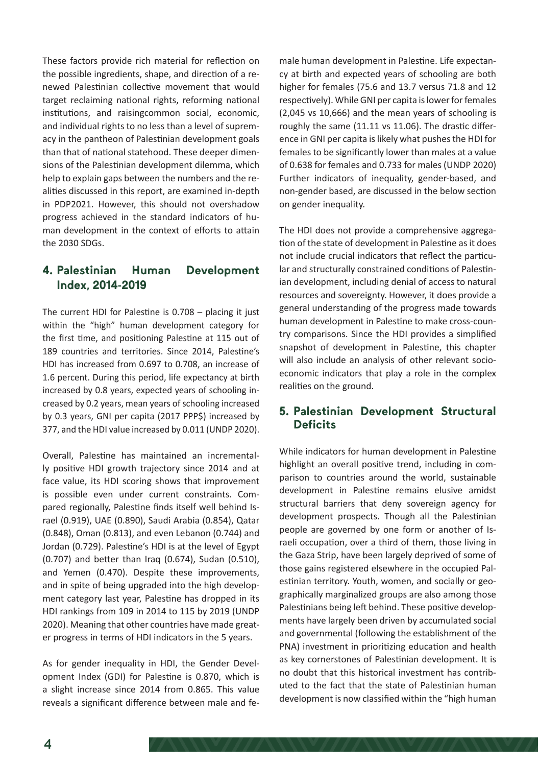These factors provide rich material for reflection on the possible ingredients, shape, and direction of a renewed Palestinian collective movement that would target reclaiming national rights, reforming national institutions, and raisingcommon social, economic, and individual rights to no less than a level of supremacy in the pantheon of Palestinian development goals than that of national statehood. These deeper dimensions of the Palestinian development dilemma, which help to explain gaps between the numbers and the realities discussed in this report, are examined in-depth in PDP2021. However, this should not overshadow progress achieved in the standard indicators of human development in the context of efforts to attain the 2030 SDGs.

### **4. Palestinian Human Development Index, 2014-2019**

The current HDI for Palestine is 0.708 – placing it just within the "high" human development category for the first time, and positioning Palestine at 115 out of 189 countries and territories. Since 2014, Palestine's HDI has increased from 0.697 to 0.708, an increase of 1.6 percent. During this period, life expectancy at birth increased by 0.8 years, expected years of schooling increased by 0.2 years, mean years of schooling increased by 0.3 years, GNI per capita (2017 PPP\$) increased by 377, and the HDI value increased by 0.011 (UNDP 2020).

Overall, Palestine has maintained an incrementally positive HDI growth trajectory since 2014 and at face value, its HDI scoring shows that improvement is possible even under current constraints. Compared regionally, Palestine finds itself well behind Israel (0.919), UAE (0.890), Saudi Arabia (0.854), Qatar (0.848), Oman (0.813), and even Lebanon (0.744) and Jordan (0.729). Palestine's HDI is at the level of Egypt (0.707) and better than Iraq (0.674), Sudan (0.510), and Yemen (0.470). Despite these improvements, and in spite of being upgraded into the high development category last year, Palestine has dropped in its HDI rankings from 109 in 2014 to 115 by 2019 (UNDP 2020). Meaning that other countries have made greater progress in terms of HDI indicators in the 5 years.

As for gender inequality in HDI, the Gender Development Index (GDI) for Palestine is 0.870, which is a slight increase since 2014 from 0.865. This value reveals a significant difference between male and fe-

male human development in Palestine. Life expectancy at birth and expected years of schooling are both higher for females (75.6 and 13.7 versus 71.8 and 12 respectively). While GNI per capita is lower for females (2,045 vs 10,666) and the mean years of schooling is roughly the same (11.11 vs 11.06). The drastic difference in GNI per capita is likely what pushes the HDI for females to be significantly lower than males at a value of 0.638 for females and 0.733 for males (UNDP 2020) Further indicators of inequality, gender-based, and non-gender based, are discussed in the below section on gender inequality.

The HDI does not provide a comprehensive aggregation of the state of development in Palestine as it does not include crucial indicators that reflect the particular and structurally constrained conditions of Palestinian development, including denial of access to natural resources and sovereignty. However, it does provide a general understanding of the progress made towards human development in Palestine to make cross-country comparisons. Since the HDI provides a simplified snapshot of development in Palestine, this chapter will also include an analysis of other relevant socioeconomic indicators that play a role in the complex realities on the ground.

#### **5. Palestinian Development Structural Deficits**

While indicators for human development in Palestine highlight an overall positive trend, including in comparison to countries around the world, sustainable development in Palestine remains elusive amidst structural barriers that deny sovereign agency for development prospects. Though all the Palestinian people are governed by one form or another of Israeli occupation, over a third of them, those living in the Gaza Strip, have been largely deprived of some of those gains registered elsewhere in the occupied Palestinian territory. Youth, women, and socially or geographically marginalized groups are also among those Palestinians being left behind. These positive developments have largely been driven by accumulated social and governmental (following the establishment of the PNA) investment in prioritizing education and health as key cornerstones of Palestinian development. It is no doubt that this historical investment has contributed to the fact that the state of Palestinian human development is now classified within the "high human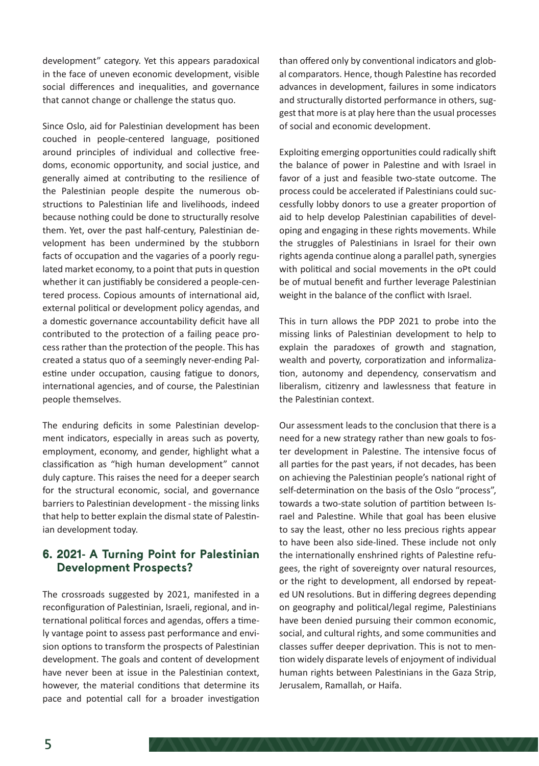development" category. Yet this appears paradoxical in the face of uneven economic development, visible social differences and inequalities, and governance that cannot change or challenge the status quo.

Since Oslo, aid for Palestinian development has been couched in people-centered language, positioned around principles of individual and collective freedoms, economic opportunity, and social justice, and generally aimed at contributing to the resilience of the Palestinian people despite the numerous obstructions to Palestinian life and livelihoods, indeed because nothing could be done to structurally resolve them. Yet, over the past half-century, Palestinian development has been undermined by the stubborn facts of occupation and the vagaries of a poorly regulated market economy, to a point that puts in question whether it can justifiably be considered a people-centered process. Copious amounts of international aid, external political or development policy agendas, and a domestic governance accountability deficit have all contributed to the protection of a failing peace process rather than the protection of the people. This has created a status quo of a seemingly never-ending Palestine under occupation, causing fatigue to donors, international agencies, and of course, the Palestinian people themselves.

The enduring deficits in some Palestinian development indicators, especially in areas such as poverty, employment, economy, and gender, highlight what a classification as "high human development" cannot duly capture. This raises the need for a deeper search for the structural economic, social, and governance barriers to Palestinian development - the missing links that help to better explain the dismal state of Palestinian development today.

#### **6. 2021- A Turning Point for Palestinian Development Prospects?**

The crossroads suggested by 2021, manifested in a reconfiguration of Palestinian, Israeli, regional, and international political forces and agendas, offers a timely vantage point to assess past performance and envision options to transform the prospects of Palestinian development. The goals and content of development have never been at issue in the Palestinian context, however, the material conditions that determine its pace and potential call for a broader investigation

than offered only by conventional indicators and global comparators. Hence, though Palestine has recorded advances in development, failures in some indicators and structurally distorted performance in others, suggest that more is at play here than the usual processes of social and economic development.

Exploiting emerging opportunities could radically shift the balance of power in Palestine and with Israel in favor of a just and feasible two-state outcome. The process could be accelerated if Palestinians could successfully lobby donors to use a greater proportion of aid to help develop Palestinian capabilities of developing and engaging in these rights movements. While the struggles of Palestinians in Israel for their own rights agenda continue along a parallel path, synergies with political and social movements in the oPt could be of mutual benefit and further leverage Palestinian weight in the balance of the conflict with Israel.

This in turn allows the PDP 2021 to probe into the missing links of Palestinian development to help to explain the paradoxes of growth and stagnation, wealth and poverty, corporatization and informalization, autonomy and dependency, conservatism and liberalism, citizenry and lawlessness that feature in the Palestinian context.

Our assessment leads to the conclusion that there is a need for a new strategy rather than new goals to foster development in Palestine. The intensive focus of all parties for the past years, if not decades, has been on achieving the Palestinian people's national right of self-determination on the basis of the Oslo "process", towards a two-state solution of partition between Israel and Palestine. While that goal has been elusive to say the least, other no less precious rights appear to have been also side-lined. These include not only the internationally enshrined rights of Palestine refugees, the right of sovereignty over natural resources, or the right to development, all endorsed by repeated UN resolutions. But in differing degrees depending on geography and political/legal regime, Palestinians have been denied pursuing their common economic, social, and cultural rights, and some communities and classes suffer deeper deprivation. This is not to mention widely disparate levels of enjoyment of individual human rights between Palestinians in the Gaza Strip, Jerusalem, Ramallah, or Haifa.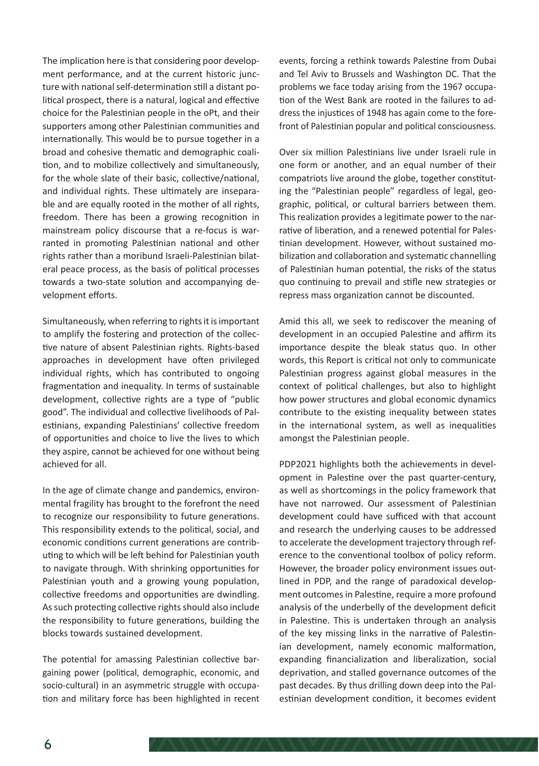The implication here is that considering poor development performance, and at the current historic juncture with national self-determination still a distant political prospect, there is a natural, logical and effective choice for the Palestinian people in the oPt, and their supporters among other Palestinian communities and internationally. This would be to pursue together in a broad and cohesive thematic and demographic coalition, and to mobilize collectively and simultaneously, for the whole slate of their basic, collective/national, and individual rights. These ultimately are inseparable and are equally rooted in the mother of all rights, freedom. There has been a growing recognition in mainstream policy discourse that a re-focus is warranted in promoting Palestinian national and other rights rather than a moribund Israeli-Palestinian bilateral peace process, as the basis of political processes towards a two-state solution and accompanying development efforts.

Simultaneously, when referring to rights it is important to amplify the fostering and protection of the collective nature of absent Palestinian rights. Rights-based approaches in development have often privileged individual rights, which has contributed to ongoing fragmentation and inequality. In terms of sustainable development, collective rights are a type of "public good". The individual and collective livelihoods of Palestinians, expanding Palestinians' collective freedom of opportunities and choice to live the lives to which they aspire, cannot be achieved for one without being achieved for all.

In the age of climate change and pandemics, environmental fragility has brought to the forefront the need to recognize our responsibility to future generations. This responsibility extends to the political, social, and economic conditions current generations are contributing to which will be left behind for Palestinian youth to navigate through. With shrinking opportunities for Palestinian youth and a growing young population, collective freedoms and opportunities are dwindling. As such protecting collective rights should also include the responsibility to future generations, building the blocks towards sustained development.

The potential for amassing Palestinian collective bargaining power (political, demographic, economic, and socio-cultural) in an asymmetric struggle with occupation and military force has been highlighted in recent

events, forcing a rethink towards Palestine from Dubai and Tel Aviv to Brussels and Washington DC. That the problems we face today arising from the 1967 occupation of the West Bank are rooted in the failures to address the injustices of 1948 has again come to the forefront of Palestinian popular and political consciousness.

Over six million Palestinians live under Israeli rule in one form or another, and an equal number of their compatriots live around the globe, together constituting the "Palestinian people" regardless of legal, geographic, political, or cultural barriers between them. This realization provides a legitimate power to the narrative of liberation, and a renewed potential for Palestinian development. However, without sustained mobilization and collaboration and systematic channelling of Palestinian human potential, the risks of the status quo continuing to prevail and stifle new strategies or repress mass organization cannot be discounted.

Amid this all, we seek to rediscover the meaning of development in an occupied Palestine and affirm its importance despite the bleak status quo. In other words, this Report is critical not only to communicate Palestinian progress against global measures in the context of political challenges, but also to highlight how power structures and global economic dynamics contribute to the existing inequality between states in the international system, as well as inequalities amongst the Palestinian people.

PDP2021 highlights both the achievements in development in Palestine over the past quarter-century, as well as shortcomings in the policy framework that have not narrowed. Our assessment of Palestinian development could have sufficed with that account and research the underlying causes to be addressed to accelerate the development trajectory through reference to the conventional toolbox of policy reform. However, the broader policy environment issues outlined in PDP, and the range of paradoxical development outcomes in Palestine, require a more profound analysis of the underbelly of the development deficit in Palestine. This is undertaken through an analysis of the key missing links in the narrative of Palestinian development, namely economic malformation, expanding financialization and liberalization, social deprivation, and stalled governance outcomes of the past decades. By thus drilling down deep into the Palestinian development condition, it becomes evident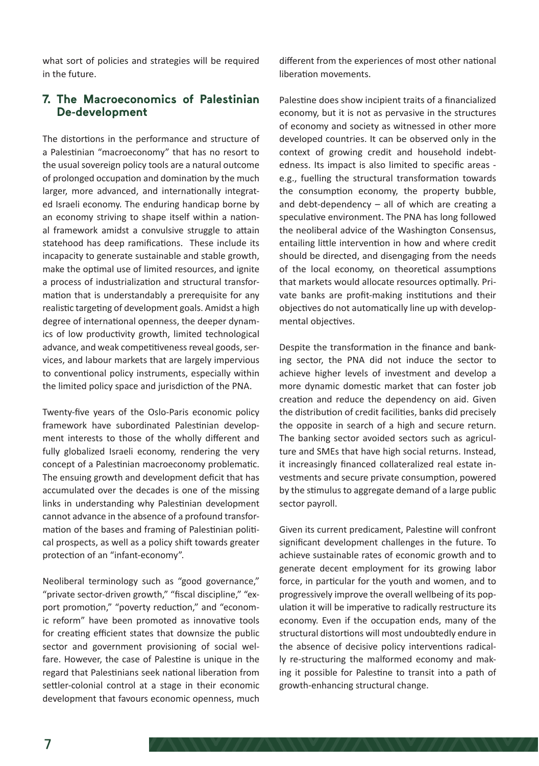what sort of policies and strategies will be required in the future.

#### **7. The Macroeconomics of Palestinian De-development**

The distortions in the performance and structure of a Palestinian "macroeconomy" that has no resort to the usual sovereign policy tools are a natural outcome of prolonged occupation and domination by the much larger, more advanced, and internationally integrated Israeli economy. The enduring handicap borne by an economy striving to shape itself within a national framework amidst a convulsive struggle to attain statehood has deep ramifications. These include its incapacity to generate sustainable and stable growth, make the optimal use of limited resources, and ignite a process of industrialization and structural transformation that is understandably a prerequisite for any realistic targeting of development goals. Amidst a high degree of international openness, the deeper dynamics of low productivity growth, limited technological advance, and weak competitiveness reveal goods, services, and labour markets that are largely impervious to conventional policy instruments, especially within the limited policy space and jurisdiction of the PNA.

Twenty-five years of the Oslo-Paris economic policy framework have subordinated Palestinian development interests to those of the wholly different and fully globalized Israeli economy, rendering the very concept of a Palestinian macroeconomy problematic. The ensuing growth and development deficit that has accumulated over the decades is one of the missing links in understanding why Palestinian development cannot advance in the absence of a profound transformation of the bases and framing of Palestinian political prospects, as well as a policy shift towards greater protection of an "infant-economy".

Neoliberal terminology such as "good governance," "private sector-driven growth," "fiscal discipline," "export promotion," "poverty reduction," and "economic reform" have been promoted as innovative tools for creating efficient states that downsize the public sector and government provisioning of social welfare. However, the case of Palestine is unique in the regard that Palestinians seek national liberation from settler-colonial control at a stage in their economic development that favours economic openness, much

different from the experiences of most other national liberation movements.

Palestine does show incipient traits of a financialized economy, but it is not as pervasive in the structures of economy and society as witnessed in other more developed countries. It can be observed only in the context of growing credit and household indebtedness. Its impact is also limited to specific areas e.g., fuelling the structural transformation towards the consumption economy, the property bubble, and debt-dependency – all of which are creating a speculative environment. The PNA has long followed the neoliberal advice of the Washington Consensus, entailing little intervention in how and where credit should be directed, and disengaging from the needs of the local economy, on theoretical assumptions that markets would allocate resources optimally. Private banks are profit-making institutions and their objectives do not automatically line up with developmental objectives.

Despite the transformation in the finance and banking sector, the PNA did not induce the sector to achieve higher levels of investment and develop a more dynamic domestic market that can foster job creation and reduce the dependency on aid. Given the distribution of credit facilities, banks did precisely the opposite in search of a high and secure return. The banking sector avoided sectors such as agriculture and SMEs that have high social returns. Instead, it increasingly financed collateralized real estate investments and secure private consumption, powered by the stimulus to aggregate demand of a large public sector payroll.

Given its current predicament, Palestine will confront significant development challenges in the future. To achieve sustainable rates of economic growth and to generate decent employment for its growing labor force, in particular for the youth and women, and to progressively improve the overall wellbeing of its population it will be imperative to radically restructure its economy. Even if the occupation ends, many of the structural distortions will most undoubtedly endure in the absence of decisive policy interventions radically re-structuring the malformed economy and making it possible for Palestine to transit into a path of growth-enhancing structural change.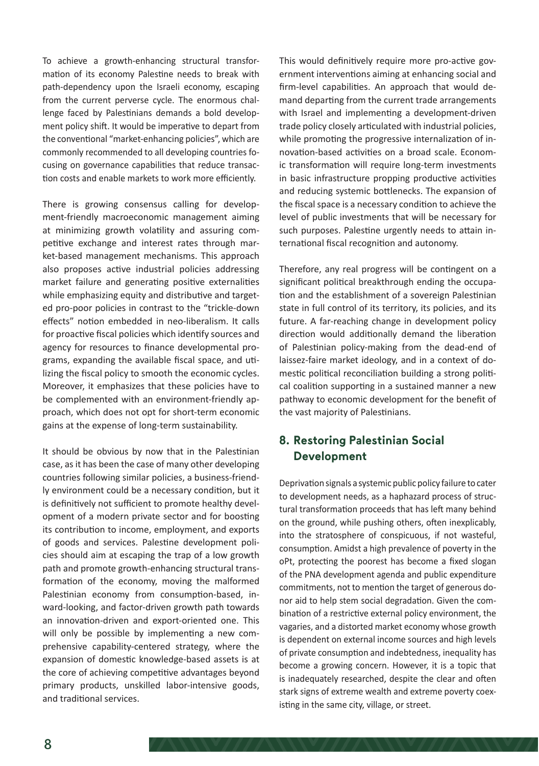To achieve a growth-enhancing structural transformation of its economy Palestine needs to break with path-dependency upon the Israeli economy, escaping from the current perverse cycle. The enormous challenge faced by Palestinians demands a bold development policy shift. It would be imperative to depart from the conventional "market-enhancing policies", which are commonly recommended to all developing countries focusing on governance capabilities that reduce transaction costs and enable markets to work more efficiently.

There is growing consensus calling for development-friendly macroeconomic management aiming at minimizing growth volatility and assuring competitive exchange and interest rates through market-based management mechanisms. This approach also proposes active industrial policies addressing market failure and generating positive externalities while emphasizing equity and distributive and targeted pro-poor policies in contrast to the "trickle-down effects" notion embedded in neo-liberalism. It calls for proactive fiscal policies which identify sources and agency for resources to finance developmental programs, expanding the available fiscal space, and utilizing the fiscal policy to smooth the economic cycles. Moreover, it emphasizes that these policies have to be complemented with an environment-friendly approach, which does not opt for short-term economic gains at the expense of long-term sustainability.

It should be obvious by now that in the Palestinian case, as it has been the case of many other developing countries following similar policies, a business-friendly environment could be a necessary condition, but it is definitively not sufficient to promote healthy development of a modern private sector and for boosting its contribution to income, employment, and exports of goods and services. Palestine development policies should aim at escaping the trap of a low growth path and promote growth-enhancing structural transformation of the economy, moving the malformed Palestinian economy from consumption-based, inward-looking, and factor-driven growth path towards an innovation-driven and export-oriented one. This will only be possible by implementing a new comprehensive capability-centered strategy, where the expansion of domestic knowledge-based assets is at the core of achieving competitive advantages beyond primary products, unskilled labor-intensive goods, and traditional services.

This would definitively require more pro-active government interventions aiming at enhancing social and firm-level capabilities. An approach that would demand departing from the current trade arrangements with Israel and implementing a development-driven trade policy closely articulated with industrial policies, while promoting the progressive internalization of innovation-based activities on a broad scale. Economic transformation will require long-term investments in basic infrastructure propping productive activities and reducing systemic bottlenecks. The expansion of the fiscal space is a necessary condition to achieve the level of public investments that will be necessary for such purposes. Palestine urgently needs to attain international fiscal recognition and autonomy.

Therefore, any real progress will be contingent on a significant political breakthrough ending the occupation and the establishment of a sovereign Palestinian state in full control of its territory, its policies, and its future. A far-reaching change in development policy direction would additionally demand the liberation of Palestinian policy-making from the dead-end of laissez-faire market ideology, and in a context of domestic political reconciliation building a strong political coalition supporting in a sustained manner a new pathway to economic development for the benefit of the vast majority of Palestinians.

# **8. Restoring Palestinian Social Development**

Deprivation signals a systemic public policy failure to cater to development needs, as a haphazard process of structural transformation proceeds that has left many behind on the ground, while pushing others, often inexplicably, into the stratosphere of conspicuous, if not wasteful, consumption. Amidst a high prevalence of poverty in the oPt, protecting the poorest has become a fixed slogan of the PNA development agenda and public expenditure commitments, not to mention the target of generous donor aid to help stem social degradation. Given the combination of a restrictive external policy environment, the vagaries, and a distorted market economy whose growth is dependent on external income sources and high levels of private consumption and indebtedness, inequality has become a growing concern. However, it is a topic that is inadequately researched, despite the clear and often stark signs of extreme wealth and extreme poverty coexisting in the same city, village, or street.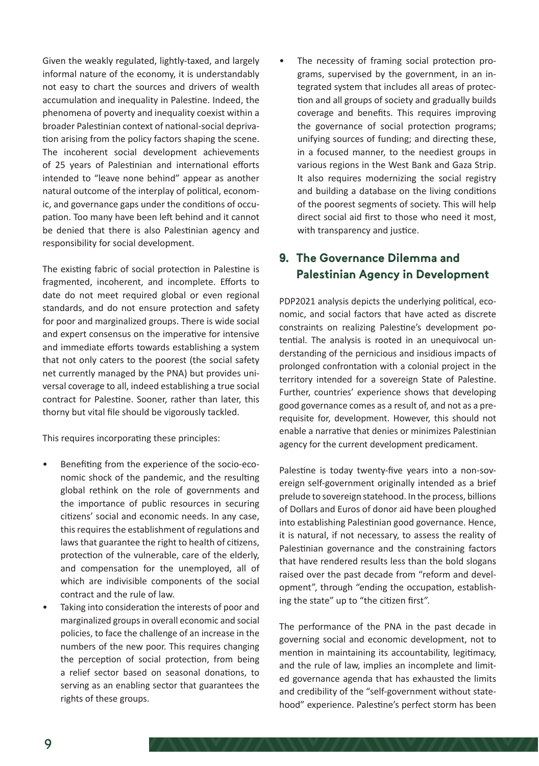Given the weakly regulated, lightly-taxed, and largely informal nature of the economy, it is understandably not easy to chart the sources and drivers of wealth accumulation and inequality in Palestine. Indeed, the phenomena of poverty and inequality coexist within a broader Palestinian context of national-social deprivation arising from the policy factors shaping the scene. The incoherent social development achievements of 25 years of Palestinian and international efforts intended to "leave none behind" appear as another natural outcome of the interplay of political, economic, and governance gaps under the conditions of occupation. Too many have been left behind and it cannot be denied that there is also Palestinian agency and responsibility for social development.

The existing fabric of social protection in Palestine is fragmented, incoherent, and incomplete. Efforts to date do not meet required global or even regional standards, and do not ensure protection and safety for poor and marginalized groups. There is wide social and expert consensus on the imperative for intensive and immediate efforts towards establishing a system that not only caters to the poorest (the social safety net currently managed by the PNA) but provides universal coverage to all, indeed establishing a true social contract for Palestine. Sooner, rather than later, this thorny but vital file should be vigorously tackled.

This requires incorporating these principles:

- Benefiting from the experience of the socio-economic shock of the pandemic, and the resulting global rethink on the role of governments and the importance of public resources in securing citizens' social and economic needs. In any case, this requires the establishment of regulations and laws that guarantee the right to health of citizens, protection of the vulnerable, care of the elderly, and compensation for the unemployed, all of which are indivisible components of the social contract and the rule of law.
- Taking into consideration the interests of poor and marginalized groups in overall economic and social policies, to face the challenge of an increase in the numbers of the new poor. This requires changing the perception of social protection, from being a relief sector based on seasonal donations, to serving as an enabling sector that guarantees the rights of these groups.

The necessity of framing social protection programs, supervised by the government, in an integrated system that includes all areas of protection and all groups of society and gradually builds coverage and benefits. This requires improving the governance of social protection programs; unifying sources of funding; and directing these, in a focused manner, to the neediest groups in various regions in the West Bank and Gaza Strip. It also requires modernizing the social registry and building a database on the living conditions of the poorest segments of society. This will help direct social aid first to those who need it most, with transparency and justice.

# **9. The Governance Dilemma and Palestinian Agency in Development**

PDP2021 analysis depicts the underlying political, economic, and social factors that have acted as discrete constraints on realizing Palestine's development potential. The analysis is rooted in an unequivocal understanding of the pernicious and insidious impacts of prolonged confrontation with a colonial project in the territory intended for a sovereign State of Palestine. Further, countries' experience shows that developing good governance comes as a result of, and not as a prerequisite for, development. However, this should not enable a narrative that denies or minimizes Palestinian agency for the current development predicament.

Palestine is today twenty-five years into a non-sovereign self-government originally intended as a brief prelude to sovereign statehood. In the process, billions of Dollars and Euros of donor aid have been ploughed into establishing Palestinian good governance. Hence, it is natural, if not necessary, to assess the reality of Palestinian governance and the constraining factors that have rendered results less than the bold slogans raised over the past decade from "reform and development", through "ending the occupation, establishing the state" up to "the citizen first".

The performance of the PNA in the past decade in governing social and economic development, not to mention in maintaining its accountability, legitimacy, and the rule of law, implies an incomplete and limited governance agenda that has exhausted the limits and credibility of the "self-government without statehood" experience. Palestine's perfect storm has been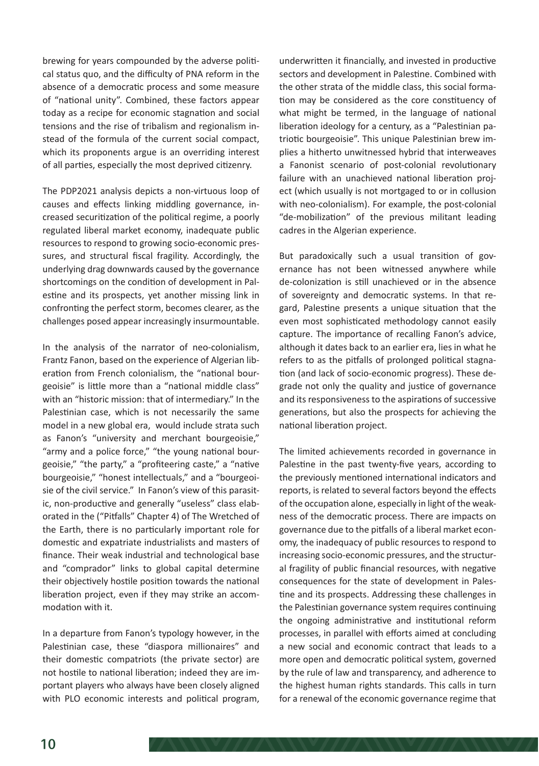brewing for years compounded by the adverse political status quo, and the difficulty of PNA reform in the absence of a democratic process and some measure of "national unity". Combined, these factors appear today as a recipe for economic stagnation and social tensions and the rise of tribalism and regionalism instead of the formula of the current social compact, which its proponents argue is an overriding interest of all parties, especially the most deprived citizenry.

The PDP2021 analysis depicts a non-virtuous loop of causes and effects linking middling governance, increased securitization of the political regime, a poorly regulated liberal market economy, inadequate public resources to respond to growing socio-economic pressures, and structural fiscal fragility. Accordingly, the underlying drag downwards caused by the governance shortcomings on the condition of development in Palestine and its prospects, yet another missing link in confronting the perfect storm, becomes clearer, as the challenges posed appear increasingly insurmountable.

In the analysis of the narrator of neo-colonialism, Frantz Fanon, based on the experience of Algerian liberation from French colonialism, the "national bourgeoisie" is little more than a "national middle class" with an "historic mission: that of intermediary." In the Palestinian case, which is not necessarily the same model in a new global era, would include strata such as Fanon's "university and merchant bourgeoisie," "army and a police force," "the young national bourgeoisie," "the party," a "profiteering caste," a "native bourgeoisie," "honest intellectuals," and a "bourgeoisie of the civil service." In Fanon's view of this parasitic, non-productive and generally "useless" class elaborated in the ("Pitfalls" Chapter 4) of The Wretched of the Earth, there is no particularly important role for domestic and expatriate industrialists and masters of finance. Their weak industrial and technological base and "comprador" links to global capital determine their objectively hostile position towards the national liberation project, even if they may strike an accommodation with it.

In a departure from Fanon's typology however, in the Palestinian case, these "diaspora millionaires" and their domestic compatriots (the private sector) are not hostile to national liberation; indeed they are important players who always have been closely aligned with PLO economic interests and political program, underwritten it financially, and invested in productive sectors and development in Palestine. Combined with the other strata of the middle class, this social formation may be considered as the core constituency of what might be termed, in the language of national liberation ideology for a century, as a "Palestinian patriotic bourgeoisie". This unique Palestinian brew implies a hitherto unwitnessed hybrid that interweaves a Fanonist scenario of post-colonial revolutionary failure with an unachieved national liberation project (which usually is not mortgaged to or in collusion with neo-colonialism). For example, the post-colonial "de-mobilization" of the previous militant leading cadres in the Algerian experience.

But paradoxically such a usual transition of governance has not been witnessed anywhere while de-colonization is still unachieved or in the absence of sovereignty and democratic systems. In that regard, Palestine presents a unique situation that the even most sophisticated methodology cannot easily capture. The importance of recalling Fanon's advice, although it dates back to an earlier era, lies in what he refers to as the pitfalls of prolonged political stagnation (and lack of socio-economic progress). These degrade not only the quality and justice of governance and its responsiveness to the aspirations of successive generations, but also the prospects for achieving the national liberation project.

The limited achievements recorded in governance in Palestine in the past twenty-five years, according to the previously mentioned international indicators and reports, is related to several factors beyond the effects of the occupation alone, especially in light of the weakness of the democratic process. There are impacts on governance due to the pitfalls of a liberal market economy, the inadequacy of public resources to respond to increasing socio-economic pressures, and the structural fragility of public financial resources, with negative consequences for the state of development in Palestine and its prospects. Addressing these challenges in the Palestinian governance system requires continuing the ongoing administrative and institutional reform processes, in parallel with efforts aimed at concluding a new social and economic contract that leads to a more open and democratic political system, governed by the rule of law and transparency, and adherence to the highest human rights standards. This calls in turn for a renewal of the economic governance regime that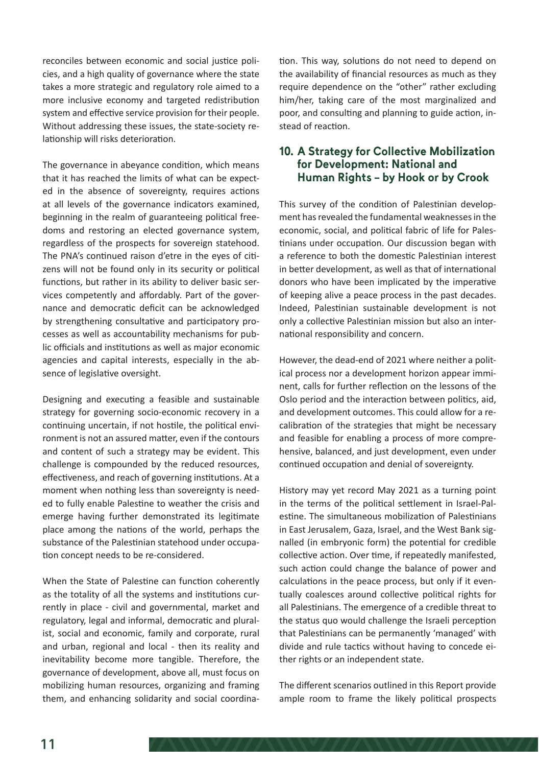reconciles between economic and social justice policies, and a high quality of governance where the state takes a more strategic and regulatory role aimed to a more inclusive economy and targeted redistribution system and effective service provision for their people. Without addressing these issues, the state-society relationship will risks deterioration.

The governance in abeyance condition, which means that it has reached the limits of what can be expected in the absence of sovereignty, requires actions at all levels of the governance indicators examined, beginning in the realm of guaranteeing political freedoms and restoring an elected governance system, regardless of the prospects for sovereign statehood. The PNA's continued raison d'etre in the eyes of citizens will not be found only in its security or political functions, but rather in its ability to deliver basic services competently and affordably. Part of the governance and democratic deficit can be acknowledged by strengthening consultative and participatory processes as well as accountability mechanisms for public officials and institutions as well as major economic agencies and capital interests, especially in the absence of legislative oversight.

Designing and executing a feasible and sustainable strategy for governing socio-economic recovery in a continuing uncertain, if not hostile, the political environment is not an assured matter, even if the contours and content of such a strategy may be evident. This challenge is compounded by the reduced resources, effectiveness, and reach of governing institutions. At a moment when nothing less than sovereignty is needed to fully enable Palestine to weather the crisis and emerge having further demonstrated its legitimate place among the nations of the world, perhaps the substance of the Palestinian statehood under occupation concept needs to be re-considered.

When the State of Palestine can function coherently as the totality of all the systems and institutions currently in place - civil and governmental, market and regulatory, legal and informal, democratic and pluralist, social and economic, family and corporate, rural and urban, regional and local - then its reality and inevitability become more tangible. Therefore, the governance of development, above all, must focus on mobilizing human resources, organizing and framing them, and enhancing solidarity and social coordination. This way, solutions do not need to depend on the availability of financial resources as much as they require dependence on the "other" rather excluding him/her, taking care of the most marginalized and poor, and consulting and planning to guide action, instead of reaction.

#### **10. A Strategy for Collective Mobilization for Development: National and Human Rights – by Hook or by Crook**

This survey of the condition of Palestinian development has revealed the fundamental weaknesses in the economic, social, and political fabric of life for Palestinians under occupation. Our discussion began with a reference to both the domestic Palestinian interest in better development, as well as that of international donors who have been implicated by the imperative of keeping alive a peace process in the past decades. Indeed, Palestinian sustainable development is not only a collective Palestinian mission but also an international responsibility and concern.

However, the dead-end of 2021 where neither a political process nor a development horizon appear imminent, calls for further reflection on the lessons of the Oslo period and the interaction between politics, aid, and development outcomes. This could allow for a recalibration of the strategies that might be necessary and feasible for enabling a process of more comprehensive, balanced, and just development, even under continued occupation and denial of sovereignty.

History may yet record May 2021 as a turning point in the terms of the political settlement in Israel-Palestine. The simultaneous mobilization of Palestinians in East Jerusalem, Gaza, Israel, and the West Bank signalled (in embryonic form) the potential for credible collective action. Over time, if repeatedly manifested, such action could change the balance of power and calculations in the peace process, but only if it eventually coalesces around collective political rights for all Palestinians. The emergence of a credible threat to the status quo would challenge the Israeli perception that Palestinians can be permanently 'managed' with divide and rule tactics without having to concede either rights or an independent state.

The different scenarios outlined in this Report provide ample room to frame the likely political prospects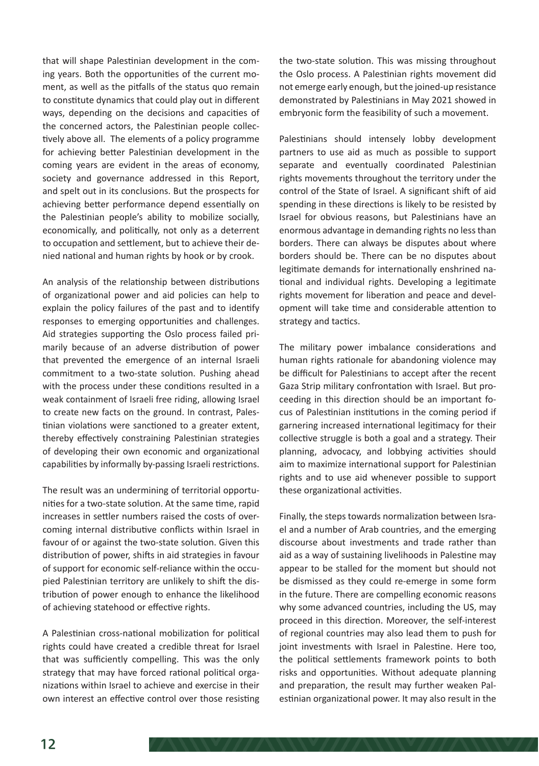that will shape Palestinian development in the coming years. Both the opportunities of the current moment, as well as the pitfalls of the status quo remain to constitute dynamics that could play out in different ways, depending on the decisions and capacities of the concerned actors, the Palestinian people collectively above all. The elements of a policy programme for achieving better Palestinian development in the coming years are evident in the areas of economy, society and governance addressed in this Report, and spelt out in its conclusions. But the prospects for achieving better performance depend essentially on the Palestinian people's ability to mobilize socially, economically, and politically, not only as a deterrent to occupation and settlement, but to achieve their denied national and human rights by hook or by crook.

An analysis of the relationship between distributions of organizational power and aid policies can help to explain the policy failures of the past and to identify responses to emerging opportunities and challenges. Aid strategies supporting the Oslo process failed primarily because of an adverse distribution of power that prevented the emergence of an internal Israeli commitment to a two-state solution. Pushing ahead with the process under these conditions resulted in a weak containment of Israeli free riding, allowing Israel to create new facts on the ground. In contrast, Palestinian violations were sanctioned to a greater extent, thereby effectively constraining Palestinian strategies of developing their own economic and organizational capabilities by informally by-passing Israeli restrictions.

The result was an undermining of territorial opportunities for a two-state solution. At the same time, rapid increases in settler numbers raised the costs of overcoming internal distributive conflicts within Israel in favour of or against the two-state solution. Given this distribution of power, shifts in aid strategies in favour of support for economic self-reliance within the occupied Palestinian territory are unlikely to shift the distribution of power enough to enhance the likelihood of achieving statehood or effective rights.

A Palestinian cross-national mobilization for political rights could have created a credible threat for Israel that was sufficiently compelling. This was the only strategy that may have forced rational political organizations within Israel to achieve and exercise in their own interest an effective control over those resisting

the two-state solution. This was missing throughout the Oslo process. A Palestinian rights movement did not emerge early enough, but the joined-up resistance demonstrated by Palestinians in May 2021 showed in embryonic form the feasibility of such a movement.

Palestinians should intensely lobby development partners to use aid as much as possible to support separate and eventually coordinated Palestinian rights movements throughout the territory under the control of the State of Israel. A significant shift of aid spending in these directions is likely to be resisted by Israel for obvious reasons, but Palestinians have an enormous advantage in demanding rights no less than borders. There can always be disputes about where borders should be. There can be no disputes about legitimate demands for internationally enshrined national and individual rights. Developing a legitimate rights movement for liberation and peace and development will take time and considerable attention to strategy and tactics.

The military power imbalance considerations and human rights rationale for abandoning violence may be difficult for Palestinians to accept after the recent Gaza Strip military confrontation with Israel. But proceeding in this direction should be an important focus of Palestinian institutions in the coming period if garnering increased international legitimacy for their collective struggle is both a goal and a strategy. Their planning, advocacy, and lobbying activities should aim to maximize international support for Palestinian rights and to use aid whenever possible to support these organizational activities.

Finally, the steps towards normalization between Israel and a number of Arab countries, and the emerging discourse about investments and trade rather than aid as a way of sustaining livelihoods in Palestine may appear to be stalled for the moment but should not be dismissed as they could re-emerge in some form in the future. There are compelling economic reasons why some advanced countries, including the US, may proceed in this direction. Moreover, the self-interest of regional countries may also lead them to push for joint investments with Israel in Palestine. Here too, the political settlements framework points to both risks and opportunities. Without adequate planning and preparation, the result may further weaken Palestinian organizational power. It may also result in the